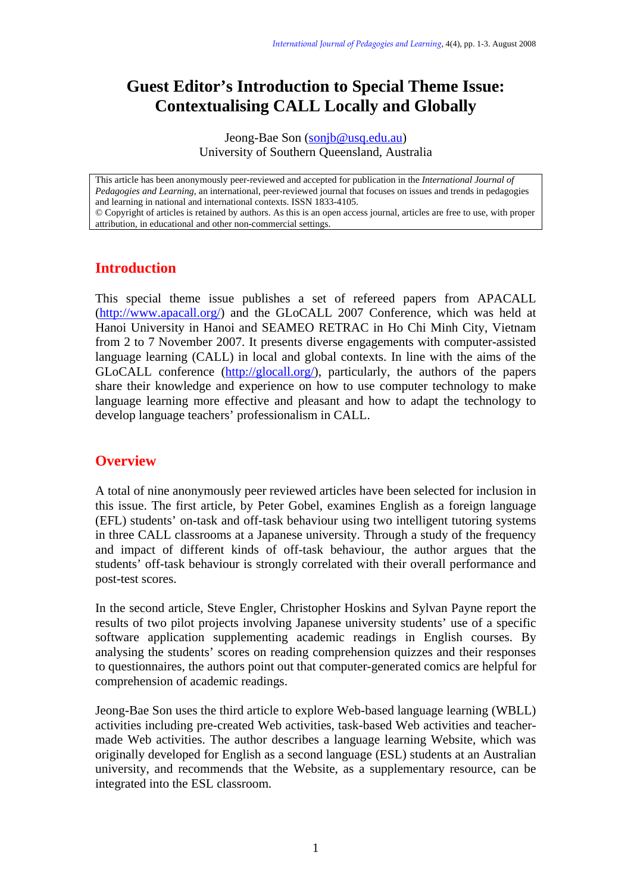## **Guest Editor's Introduction to Special Theme Issue: Contextualising CALL Locally and Globally**

Jeong-Bae Son (sonjb@usq.edu.au) University of Southern Queensland, Australia

This article has been anonymously peer-reviewed and accepted for publication in the *International Journal of Pedagogies and Learning*, an international, peer-reviewed journal that focuses on issues and trends in pedagogies and learning in national and international contexts. ISSN 1833-4105.

© Copyright of articles is retained by authors. As this is an open access journal, articles are free to use, with proper attribution, in educational and other non-commercial settings.

## **Introduction**

This special theme issue publishes a set of refereed papers from APACALL ([http://www.apacall.org/\)](http://www.apacall.org/) and the GLoCALL 2007 Conference, which was held at Hanoi University in Hanoi and SEAMEO RETRAC in Ho Chi Minh City, Vietnam from 2 to 7 November 2007. It presents diverse engagements with computer-assisted language learning (CALL) in local and global contexts. In line with the aims of the GLoCALL conference (<http://glocall.org/>), particularly, the authors of the papers share their knowledge and experience on how to use computer technology to make language learning more effective and pleasant and how to adapt the technology to develop language teachers' professionalism in CALL.

## **Overview**

A total of nine anonymously peer reviewed articles have been selected for inclusion in this issue. The first article, by Peter Gobel, examines English as a foreign language (EFL) students' on-task and off-task behaviour using two intelligent tutoring systems in three CALL classrooms at a Japanese university. Through a study of the frequency and impact of different kinds of off-task behaviour, the author argues that the students' off-task behaviour is strongly correlated with their overall performance and post-test scores.

In the second article, Steve Engler, Christopher Hoskins and Sylvan Payne report the results of two pilot projects involving Japanese university students' use of a specific software application supplementing academic readings in English courses. By analysing the students' scores on reading comprehension quizzes and their responses to questionnaires, the authors point out that computer-generated comics are helpful for comprehension of academic readings.

Jeong-Bae Son uses the third article to explore Web-based language learning (WBLL) activities including pre-created Web activities, task-based Web activities and teachermade Web activities. The author describes a language learning Website, which was originally developed for English as a second language (ESL) students at an Australian university, and recommends that the Website, as a supplementary resource, can be integrated into the ESL classroom.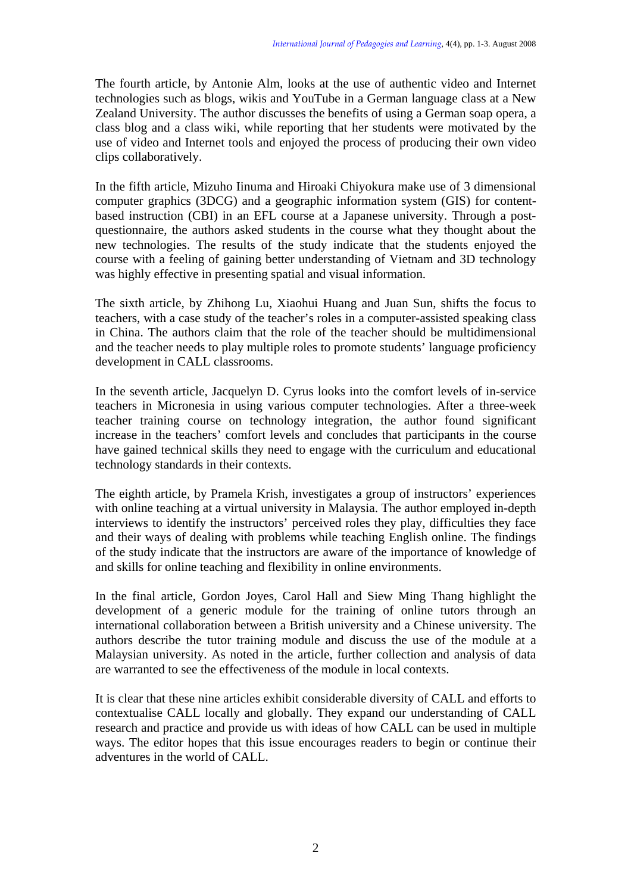The fourth article, by Antonie Alm, looks at the use of authentic video and Internet technologies such as blogs, wikis and YouTube in a German language class at a New Zealand University. The author discusses the benefits of using a German soap opera, a class blog and a class wiki, while reporting that her students were motivated by the use of video and Internet tools and enjoyed the process of producing their own video clips collaboratively.

In the fifth article, Mizuho Iinuma and Hiroaki Chiyokura make use of 3 dimensional computer graphics (3DCG) and a geographic information system (GIS) for contentbased instruction (CBI) in an EFL course at a Japanese university. Through a postquestionnaire, the authors asked students in the course what they thought about the new technologies. The results of the study indicate that the students enjoyed the course with a feeling of gaining better understanding of Vietnam and 3D technology was highly effective in presenting spatial and visual information.

The sixth article, by Zhihong Lu, Xiaohui Huang and Juan Sun, shifts the focus to teachers, with a case study of the teacher's roles in a computer-assisted speaking class in China. The authors claim that the role of the teacher should be multidimensional and the teacher needs to play multiple roles to promote students' language proficiency development in CALL classrooms.

In the seventh article, Jacquelyn D. Cyrus looks into the comfort levels of in-service teachers in Micronesia in using various computer technologies. After a three-week teacher training course on technology integration, the author found significant increase in the teachers' comfort levels and concludes that participants in the course have gained technical skills they need to engage with the curriculum and educational technology standards in their contexts.

The eighth article, by Pramela Krish, investigates a group of instructors' experiences with online teaching at a virtual university in Malaysia. The author employed in-depth interviews to identify the instructors' perceived roles they play, difficulties they face and their ways of dealing with problems while teaching English online. The findings of the study indicate that the instructors are aware of the importance of knowledge of and skills for online teaching and flexibility in online environments.

In the final article, Gordon Joyes, Carol Hall and Siew Ming Thang highlight the development of a generic module for the training of online tutors through an international collaboration between a British university and a Chinese university. The authors describe the tutor training module and discuss the use of the module at a Malaysian university. As noted in the article, further collection and analysis of data are warranted to see the effectiveness of the module in local contexts.

It is clear that these nine articles exhibit considerable diversity of CALL and efforts to contextualise CALL locally and globally. They expand our understanding of CALL research and practice and provide us with ideas of how CALL can be used in multiple ways. The editor hopes that this issue encourages readers to begin or continue their adventures in the world of CALL.